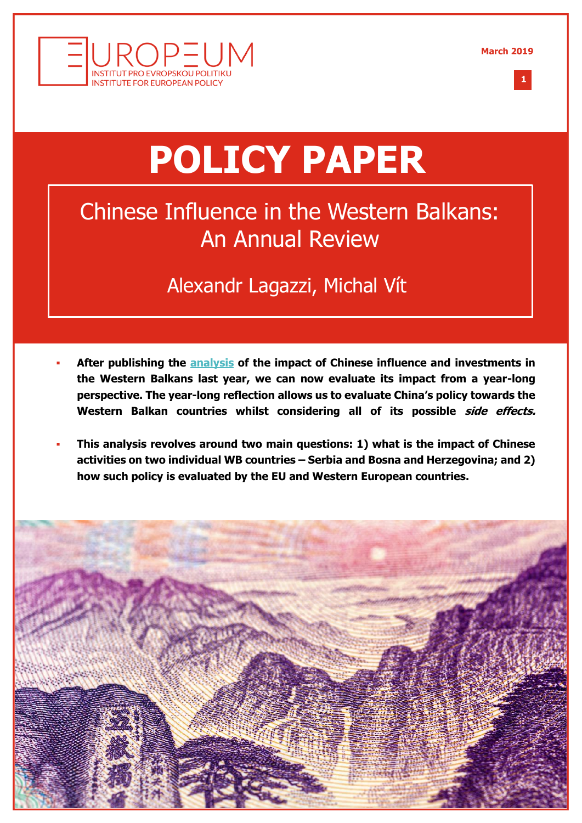



**1 %**

# **POLICY PAPER**

# Chinese Influence in the Western Balkans: An Annual Review

## Alexandr Lagazzi, Michal Vít

- **After publishing the [analysis](http://europeum.org/en/articles/detail/1677/the-good-the-bad-and-the-ugly-chinese-influence-in-the-western-balkans) of the impact of Chinese influence and investments in the Western Balkans last year, we can now evaluate its impact from a year-long perspective. The year-long reflection allows us to evaluate China's policy towards the Western Balkan countries whilst considering all of its possible side effects.**
- **This analysis revolves around two main questions: 1) what is the impact of Chinese activities on two individual WB countries – Serbia and Bosna and Herzegovina; and 2) how such policy is evaluated by the EU and Western European countries.**

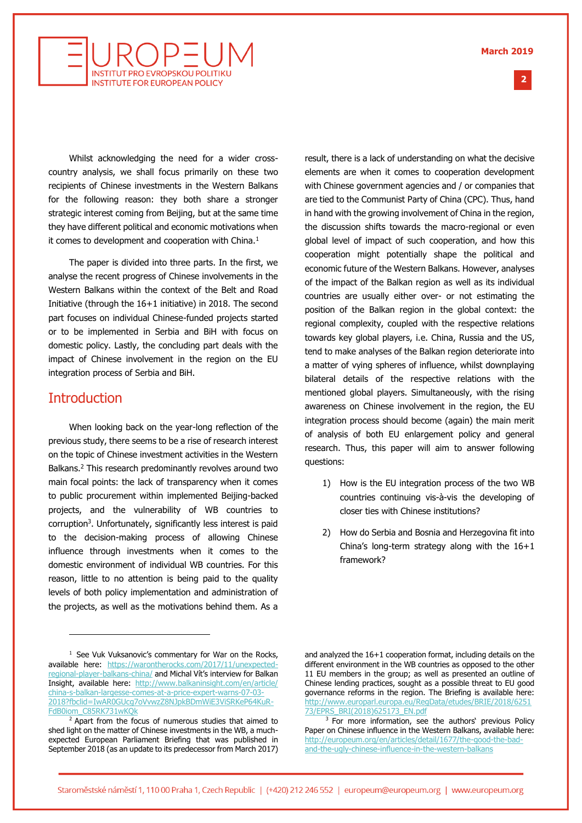#### **March 2019**

**2 %**



Whilst acknowledging the need for a wider crosscountry analysis, we shall focus primarily on these two recipients of Chinese investments in the Western Balkans for the following reason: they both share a stronger strategic interest coming from Beijing, but at the same time they have different political and economic motivations when it comes to development and cooperation with China.<sup>1</sup>

The paper is divided into three parts. In the first, we analyse the recent progress of Chinese involvements in the Western Balkans within the context of the Belt and Road Initiative (through the 16+1 initiative) in 2018. The second part focuses on individual Chinese-funded projects started or to be implemented in Serbia and BiH with focus on domestic policy. Lastly, the concluding part deals with the impact of Chinese involvement in the region on the EU integration process of Serbia and BiH.

#### **Introduction**

j

When looking back on the year-long reflection of the previous study, there seems to be a rise of research interest on the topic of Chinese investment activities in the Western Balkans.<sup>2</sup> This research predominantly revolves around two main focal points: the lack of transparency when it comes to public procurement within implemented Beijing-backed projects, and the vulnerability of WB countries to corruption<sup>3</sup>. Unfortunately, significantly less interest is paid to the decision-making process of allowing Chinese influence through investments when it comes to the domestic environment of individual WB countries. For this reason, little to no attention is being paid to the quality levels of both policy implementation and administration of the projects, as well as the motivations behind them. As a

result, there is a lack of understanding on what the decisive elements are when it comes to cooperation development with Chinese government agencies and / or companies that are tied to the Communist Party of China (CPC). Thus, hand in hand with the growing involvement of China in the region, the discussion shifts towards the macro-regional or even global level of impact of such cooperation, and how this cooperation might potentially shape the political and economic future of the Western Balkans. However, analyses of the impact of the Balkan region as well as its individual countries are usually either over- or not estimating the position of the Balkan region in the global context: the regional complexity, coupled with the respective relations towards key global players, i.e. China, Russia and the US, tend to make analyses of the Balkan region deteriorate into a matter of vying spheres of influence, whilst downplaying bilateral details of the respective relations with the mentioned global players. Simultaneously, with the rising awareness on Chinese involvement in the region, the EU integration process should become (again) the main merit of analysis of both EU enlargement policy and general research. Thus, this paper will aim to answer following questions:

- 1) How is the EU integration process of the two WB countries continuing vis-à-vis the developing of closer ties with Chinese institutions?
- 2) How do Serbia and Bosnia and Herzegovina fit into China's long-term strategy along with the 16+1 framework?

 $1$  See Vuk Vuksanovic's commentary for War on the Rocks, available here: [https://warontherocks.com/2017/11/unexpected](https://warontherocks.com/2017/11/unexpected-regional-player-balkans-china/)[regional-player-balkans-china/](https://warontherocks.com/2017/11/unexpected-regional-player-balkans-china/) and Michal Vít's interview for Balkan Insight, available here: [http://www.balkaninsight.com/en/article/](http://www.balkaninsight.com/en/article/china-s-balkan-largesse-comes-at-a-price-expert-warns-07-03-2018?fbclid=IwAR0GUcg7oVvwzZ8NJpkBDmWiE3ViSRKeP64KuR-FdB0iom_C85RK731wKQk) [china-s-balkan-largesse-comes-at-a-price-expert-warns-07-03-](http://www.balkaninsight.com/en/article/china-s-balkan-largesse-comes-at-a-price-expert-warns-07-03-2018?fbclid=IwAR0GUcg7oVvwzZ8NJpkBDmWiE3ViSRKeP64KuR-FdB0iom_C85RK731wKQk) [2018?fbclid=IwAR0GUcg7oVvwzZ8NJpkBDmWiE3ViSRKeP64KuR-](http://www.balkaninsight.com/en/article/china-s-balkan-largesse-comes-at-a-price-expert-warns-07-03-2018?fbclid=IwAR0GUcg7oVvwzZ8NJpkBDmWiE3ViSRKeP64KuR-FdB0iom_C85RK731wKQk)[FdB0iom\\_C85RK731wKQk](http://www.balkaninsight.com/en/article/china-s-balkan-largesse-comes-at-a-price-expert-warns-07-03-2018?fbclid=IwAR0GUcg7oVvwzZ8NJpkBDmWiE3ViSRKeP64KuR-FdB0iom_C85RK731wKQk)

<sup>&</sup>lt;sup>2</sup> Apart from the focus of numerous studies that aimed to shed light on the matter of Chinese investments in the WB, a muchexpected European Parliament Briefing that was published in September 2018 (as an update to its predecessor from March 2017)

and analyzed the 16+1 cooperation format, including details on the different environment in the WB countries as opposed to the other 11 EU members in the group; as well as presented an outline of Chinese lending practices, sought as a possible threat to EU good governance reforms in the region. The Briefing is available here: [http://www.europarl.europa.eu/RegData/etudes/BRIE/2018/6251](http://www.europarl.europa.eu/RegData/etudes/BRIE/2018/625173/EPRS_BRI(2018)625173_EN.pdf) [73/EPRS\\_BRI\(2018\)625173\\_EN.pdf](http://www.europarl.europa.eu/RegData/etudes/BRIE/2018/625173/EPRS_BRI(2018)625173_EN.pdf)

<sup>&</sup>lt;sup>3</sup> For more information, see the authors' previous Policy Paper on Chinese influence in the Western Balkans, available here: [http://europeum.org/en/articles/detail/1677/the-good-the-bad](http://europeum.org/en/articles/detail/1677/the-good-the-bad-and-the-ugly-chinese-influence-in-the-western-balkans)[and-the-ugly-chinese-influence-in-the-western-balkans](http://europeum.org/en/articles/detail/1677/the-good-the-bad-and-the-ugly-chinese-influence-in-the-western-balkans)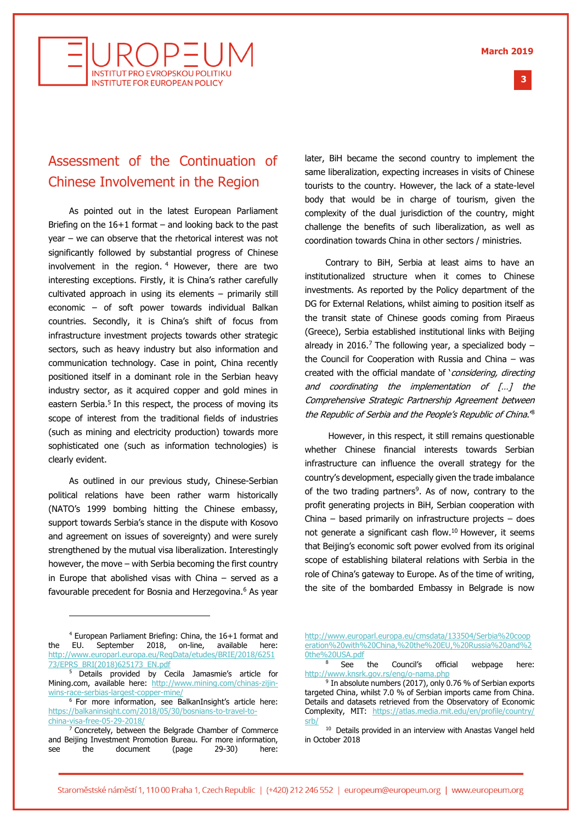

## Assessment of the Continuation of Chinese Involvement in the Region

As pointed out in the latest European Parliament Briefing on the  $16+1$  format – and looking back to the past year – we can observe that the rhetorical interest was not significantly followed by substantial progress of Chinese involvement in the region.  $4$  However, there are two interesting exceptions. Firstly, it is China's rather carefully cultivated approach in using its elements – primarily still economic – of soft power towards individual Balkan countries. Secondly, it is China's shift of focus from infrastructure investment projects towards other strategic sectors, such as heavy industry but also information and communication technology. Case in point, China recently positioned itself in a dominant role in the Serbian heavy industry sector, as it acquired copper and gold mines in eastern Serbia.<sup>5</sup> In this respect, the process of moving its scope of interest from the traditional fields of industries (such as mining and electricity production) towards more sophisticated one (such as information technologies) is clearly evident.

As outlined in our previous study, Chinese-Serbian political relations have been rather warm historically (NATO's 1999 bombing hitting the Chinese embassy, support towards Serbia's stance in the dispute with Kosovo and agreement on issues of sovereignty) and were surely strengthened by the mutual visa liberalization. Interestingly however, the move – with Serbia becoming the first country in Europe that abolished visas with China – served as a favourable precedent for Bosnia and Herzegovina.<sup>6</sup> As year

later, BiH became the second country to implement the same liberalization, expecting increases in visits of Chinese tourists to the country. However, the lack of a state-level body that would be in charge of tourism, given the complexity of the dual jurisdiction of the country, might challenge the benefits of such liberalization, as well as coordination towards China in other sectors / ministries.

Contrary to BiH, Serbia at least aims to have an institutionalized structure when it comes to Chinese investments. As reported by the Policy department of the DG for External Relations, whilst aiming to position itself as the transit state of Chinese goods coming from Piraeus (Greece), Serbia established institutional links with Beijing already in 2016.<sup>7</sup> The following year, a specialized body  $$ the Council for Cooperation with Russia and China – was created with the official mandate of 'considering, directing and coordinating the implementation of […] the Comprehensive Strategic Partnership Agreement between the Republic of Serbia and the People's Republic of China.'<sup>8</sup>

However, in this respect, it still remains questionable whether Chinese financial interests towards Serbian infrastructure can influence the overall strategy for the country's development, especially given the trade imbalance of the two trading partners<sup>9</sup>. As of now, contrary to the profit generating projects in BiH, Serbian cooperation with China – based primarily on infrastructure projects – does not generate a significant cash flow.<sup>10</sup> However, it seems that Beijing's economic soft power evolved from its original scope of establishing bilateral relations with Serbia in the role of China's gateway to Europe. As of the time of writing, the site of the bombarded Embassy in Belgrade is now

j

[http://www.europarl.europa.eu/cmsdata/133504/Serbia%20coop](http://www.europarl.europa.eu/cmsdata/133504/Serbia%20cooperation%20with%20China,%20the%20EU,%20Russia%20and%20the%20USA.pdf) [eration%20with%20China,%20the%20EU,%20Russia%20and%2](http://www.europarl.europa.eu/cmsdata/133504/Serbia%20cooperation%20with%20China,%20the%20EU,%20Russia%20and%20the%20USA.pdf) [0the%20USA.pdf](http://www.europarl.europa.eu/cmsdata/133504/Serbia%20cooperation%20with%20China,%20the%20EU,%20Russia%20and%20the%20USA.pdf)

**3 %**

<sup>4</sup> European Parliament Briefing: China, the 16+1 format and the EU. September 2018, on-line, available here: [http://www.europarl.europa.eu/RegData/etudes/BRIE/2018/6251](http://www.europarl.europa.eu/RegData/etudes/BRIE/2018/625173/EPRS_BRI(2018)625173_EN.pdf) [73/EPRS\\_BRI\(2018\)625173\\_EN.pdf](http://www.europarl.europa.eu/RegData/etudes/BRIE/2018/625173/EPRS_BRI(2018)625173_EN.pdf)

<sup>5</sup> Details provided by Cecila Jamasmie's article for Mining.com, available here: [http://www.mining.com/chinas-zijin](http://www.mining.com/chinas-zijin-wins-race-serbias-largest-copper-mine/)[wins-race-serbias-largest-copper-mine/](http://www.mining.com/chinas-zijin-wins-race-serbias-largest-copper-mine/)

<sup>6</sup> For more information, see BalkanInsight's article here: [https://balkaninsight.com/2018/05/30/bosnians-to-travel-to](https://balkaninsight.com/2018/05/30/bosnians-to-travel-to-china-visa-free-05-29-2018/)[china-visa-free-05-29-2018/](https://balkaninsight.com/2018/05/30/bosnians-to-travel-to-china-visa-free-05-29-2018/)

<sup>7</sup> Concretely, between the Belgrade Chamber of Commerce and Beijing Investment Promotion Bureau. For more information, see the document (page 29-30) here:

See the Council's official webpage here: <http://www.knsrk.gov.rs/eng/o-nama.php>

<sup>&</sup>lt;sup>9</sup> In absolute numbers (2017), only 0.76 % of Serbian exports targeted China, whilst 7.0 % of Serbian imports came from China. Details and datasets retrieved from the Observatory of Economic Complexity, MIT: [https://atlas.media.mit.edu/en/profile/country/](https://atlas.media.mit.edu/en/profile/country/srb/) [srb/](https://atlas.media.mit.edu/en/profile/country/srb/)

<sup>&</sup>lt;sup>10</sup> Details provided in an interview with Anastas Vangel held in October 2018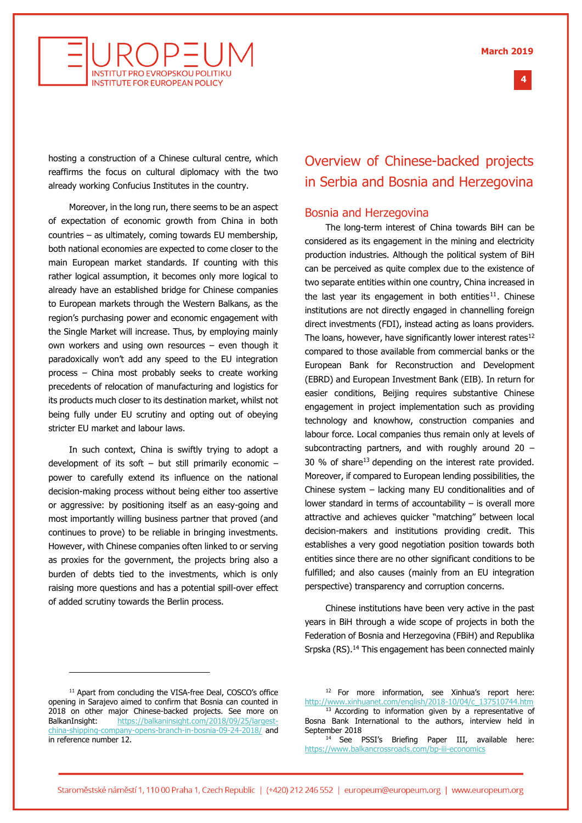

hosting a construction of a Chinese cultural centre, which reaffirms the focus on cultural diplomacy with the two already working Confucius Institutes in the country.

**INSTITUT PRO EVROPSKOU POLITIKI INSTITUTE FOR EUROPEAN POLICY** 

Moreover, in the long run, there seems to be an aspect of expectation of economic growth from China in both countries – as ultimately, coming towards EU membership, both national economies are expected to come closer to the main European market standards. If counting with this rather logical assumption, it becomes only more logical to already have an established bridge for Chinese companies to European markets through the Western Balkans, as the region's purchasing power and economic engagement with the Single Market will increase. Thus, by employing mainly own workers and using own resources – even though it paradoxically won't add any speed to the EU integration process – China most probably seeks to create working precedents of relocation of manufacturing and logistics for its products much closer to its destination market, whilst not being fully under EU scrutiny and opting out of obeying stricter EU market and labour laws.

In such context, China is swiftly trying to adopt a development of its soft  $-$  but still primarily economic  $$ power to carefully extend its influence on the national decision-making process without being either too assertive or aggressive: by positioning itself as an easy-going and most importantly willing business partner that proved (and continues to prove) to be reliable in bringing investments. However, with Chinese companies often linked to or serving as proxies for the government, the projects bring also a burden of debts tied to the investments, which is only raising more questions and has a potential spill-over effect of added scrutiny towards the Berlin process.

## Overview of Chinese-backed projects in Serbia and Bosnia and Herzegovina

#### Bosnia and Herzegovina

The long-term interest of China towards BiH can be considered as its engagement in the mining and electricity production industries. Although the political system of BiH can be perceived as quite complex due to the existence of two separate entities within one country, China increased in the last year its engagement in both entities<sup>11</sup>. Chinese institutions are not directly engaged in channelling foreign direct investments (FDI), instead acting as loans providers. The loans, however, have significantly lower interest rates<sup>12</sup> compared to those available from commercial banks or the European Bank for Reconstruction and Development (EBRD) and European Investment Bank (EIB). In return for easier conditions, Beijing requires substantive Chinese engagement in project implementation such as providing technology and knowhow, construction companies and labour force. Local companies thus remain only at levels of subcontracting partners, and with roughly around 20 – 30 % of share<sup>13</sup> depending on the interest rate provided. Moreover, if compared to European lending possibilities, the Chinese system – lacking many EU conditionalities and of lower standard in terms of accountability – is overall more attractive and achieves quicker "matching" between local decision-makers and institutions providing credit. This establishes a very good negotiation position towards both entities since there are no other significant conditions to be fulfilled; and also causes (mainly from an EU integration perspective) transparency and corruption concerns.

Chinese institutions have been very active in the past years in BiH through a wide scope of projects in both the Federation of Bosnia and Herzegovina (FBiH) and Republika Srpska (RS).<sup>14</sup> This engagement has been connected mainly

j

<sup>12</sup> For more information, see Xinhua's report here: [http://www.xinhuanet.com/english/2018-10/04/c\\_137510744.htm](http://www.xinhuanet.com/english/2018-10/04/c_137510744.htm) <sup>13</sup> According to information given by a representative of Bosna Bank International to the authors, interview held in September 2018

<sup>14</sup> See PSSI's Briefing Paper III, available here: <https://www.balkancrossroads.com/bp-iii-economics>

<sup>&</sup>lt;sup>11</sup> Apart from concluding the VISA-free Deal, COSCO's office opening in Sarajevo aimed to confirm that Bosnia can counted in 2018 on other major Chinese-backed projects. See more on BalkanInsight: [https://balkaninsight.com/2018/09/25/largest](https://balkaninsight.com/2018/09/25/largest-china-shipping-company-opens-branch-in-bosnia-09-24-2018/)[china-shipping-company-opens-branch-in-bosnia-09-24-2018/](https://balkaninsight.com/2018/09/25/largest-china-shipping-company-opens-branch-in-bosnia-09-24-2018/) and in reference number 12.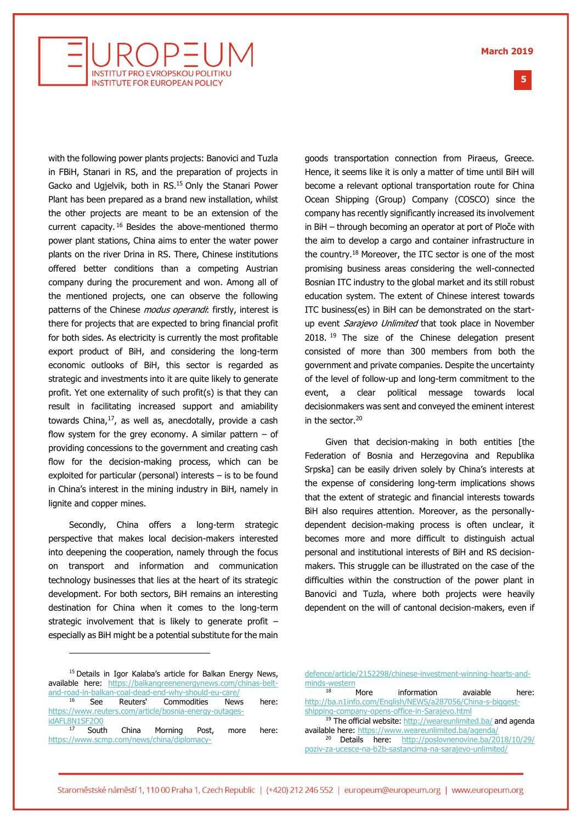**5 %**



with the following power plants projects: Banovici and Tuzla in FBiH, Stanari in RS, and the preparation of projects in Gacko and Ugjelvik, both in RS.<sup>15</sup> Only the Stanari Power Plant has been prepared as a brand new installation, whilst the other projects are meant to be an extension of the current capacity. <sup>16</sup> Besides the above-mentioned thermo power plant stations, China aims to enter the water power plants on the river Drina in RS. There, Chinese institutions offered better conditions than a competing Austrian company during the procurement and won. Among all of the mentioned projects, one can observe the following patterns of the Chinese *modus operandi*: firstly, interest is there for projects that are expected to bring financial profit for both sides. As electricity is currently the most profitable export product of BiH, and considering the long-term economic outlooks of BiH, this sector is regarded as strategic and investments into it are quite likely to generate profit. Yet one externality of such profit(s) is that they can result in facilitating increased support and amiability towards China, $17$ , as well as, anecdotally, provide a cash flow system for the grey economy. A similar pattern  $-$  of providing concessions to the government and creating cash flow for the decision-making process, which can be exploited for particular (personal) interests – is to be found in China's interest in the mining industry in BiH, namely in lignite and copper mines.

Secondly, China offers a long-term strategic perspective that makes local decision-makers interested into deepening the cooperation, namely through the focus on transport and information and communication technology businesses that lies at the heart of its strategic development. For both sectors, BiH remains an interesting destination for China when it comes to the long-term strategic involvement that is likely to generate profit – especially as BiH might be a potential substitute for the main

goods transportation connection from Piraeus, Greece. Hence, it seems like it is only a matter of time until BiH will become a relevant optional transportation route for China Ocean Shipping (Group) Company (COSCO) since the company has recently significantly increased its involvement in BiH – through becoming an operator at port of Ploče with the aim to develop a cargo and container infrastructure in the country.<sup>18</sup> Moreover, the ITC sector is one of the most promising business areas considering the well-connected Bosnian ITC industry to the global market and its still robust education system. The extent of Chinese interest towards ITC business(es) in BiH can be demonstrated on the startup event *Sarajevo Unlimited* that took place in November 2018. <sup>19</sup> The size of the Chinese delegation present consisted of more than 300 members from both the government and private companies. Despite the uncertainty of the level of follow-up and long-term commitment to the event, a clear political message towards local decisionmakers was sent and conveyed the eminent interest in the sector.<sup>20</sup>

Given that decision-making in both entities [the Federation of Bosnia and Herzegovina and Republika Srpska] can be easily driven solely by China's interests at the expense of considering long-term implications shows that the extent of strategic and financial interests towards BiH also requires attention. Moreover, as the personallydependent decision-making process is often unclear, it becomes more and more difficult to distinguish actual personal and institutional interests of BiH and RS decisionmakers. This struggle can be illustrated on the case of the difficulties within the construction of the power plant in Banovici and Tuzla, where both projects were heavily dependent on the will of cantonal decision-makers, even if

j

[defence/article/2152298/chinese-investment-winning-hearts-and](https://www.scmp.com/news/china/diplomacy-defence/article/2152298/chinese-investment-winning-hearts-and-minds-western)[minds-western](https://www.scmp.com/news/china/diplomacy-defence/article/2152298/chinese-investment-winning-hearts-and-minds-western)

More information avaiable here: [http://ba.n1info.com/English/NEWS/a287056/China-s-biggest](http://ba.n1info.com/English/NEWS/a287056/China-s-biggest-shipping-company-opens-office-in-Sarajevo.html)[shipping-company-opens-office-in-Sarajevo.html](http://ba.n1info.com/English/NEWS/a287056/China-s-biggest-shipping-company-opens-office-in-Sarajevo.html) <sup>19</sup> The official website[: http://weareunlimited.ba/](http://weareunlimited.ba/) and agenda available here:<https://www.weareunlimited.ba/agenda/> <sup>20</sup> Details here: [http://poslovnenovine.ba/2018/10/29/](http://poslovnenovine.ba/2018/10/29/poziv-za-ucesce-na-b2b-sastancima-na-sarajevo-unlimited/) [poziv-za-ucesce-na-b2b-sastancima-na-sarajevo-unlimited/](http://poslovnenovine.ba/2018/10/29/poziv-za-ucesce-na-b2b-sastancima-na-sarajevo-unlimited/)

<sup>&</sup>lt;sup>15</sup> Details in Igor Kalaba's article for Balkan Energy News, available here: [https://balkangreenenergynews.com/chinas-belt](https://balkangreenenergynews.com/chinas-belt-and-road-in-balkan-coal-dead-end-why-should-eu-care/)[and-road-in-balkan-coal-dead-end-why-should-eu-care/](https://balkangreenenergynews.com/chinas-belt-and-road-in-balkan-coal-dead-end-why-should-eu-care/) <sup>16</sup> See Reuters' Commodities News here: [https://www.reuters.com/article/bosnia-energy-outages](https://www.reuters.com/article/bosnia-energy-outages-idAFL8N1SF2O0)[idAFL8N1SF2O0](https://www.reuters.com/article/bosnia-energy-outages-idAFL8N1SF2O0) <sup>17</sup> South China Morning Post, more here: [https://www.scmp.com/news/china/diplomacy-](https://www.scmp.com/news/china/diplomacy-defence/article/2152298/chinese-investment-winning-hearts-and-minds-western)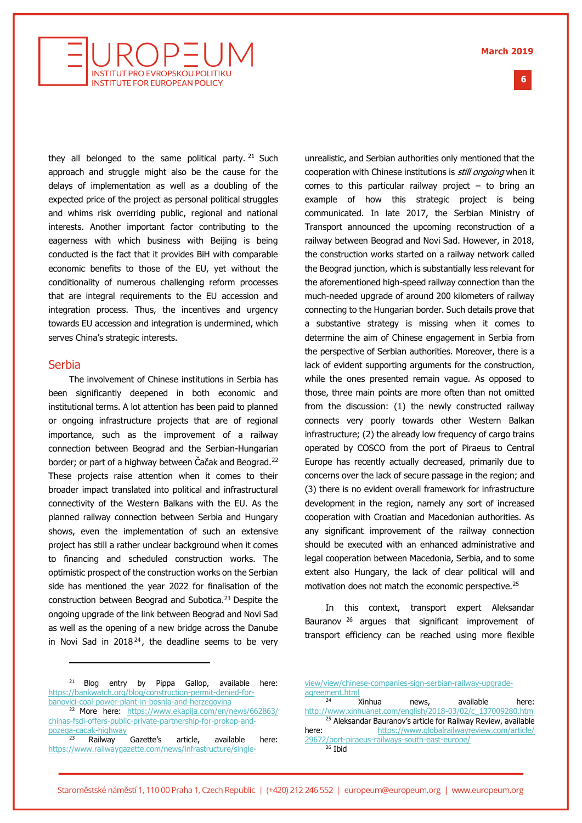**6 %**



they all belonged to the same political party.  $21$  Such approach and struggle might also be the cause for the delays of implementation as well as a doubling of the expected price of the project as personal political struggles and whims risk overriding public, regional and national interests. Another important factor contributing to the eagerness with which business with Beijing is being conducted is the fact that it provides BiH with comparable economic benefits to those of the EU, yet without the conditionality of numerous challenging reform processes that are integral requirements to the EU accession and integration process. Thus, the incentives and urgency towards EU accession and integration is undermined, which serves China's strategic interests.

#### Serbia

j

The involvement of Chinese institutions in Serbia has been significantly deepened in both economic and institutional terms. A lot attention has been paid to planned or ongoing infrastructure projects that are of regional importance, such as the improvement of a railway connection between Beograd and the Serbian-Hungarian border; or part of a highway between Cacak and Beograd.<sup>22</sup> These projects raise attention when it comes to their broader impact translated into political and infrastructural connectivity of the Western Balkans with the EU. As the planned railway connection between Serbia and Hungary shows, even the implementation of such an extensive project has still a rather unclear background when it comes to financing and scheduled construction works. The optimistic prospect of the construction works on the Serbian side has mentioned the year 2022 for finalisation of the construction between Beograd and Subotica.<sup>23</sup> Despite the ongoing upgrade of the link between Beograd and Novi Sad as well as the opening of a new bridge across the Danube in Novi Sad in  $2018^{24}$ , the deadline seems to be very

unrealistic, and Serbian authorities only mentioned that the cooperation with Chinese institutions is *still ongoing* when it comes to this particular railway project  $-$  to bring an example of how this strategic project is being communicated. In late 2017, the Serbian Ministry of Transport announced the upcoming reconstruction of a railway between Beograd and Novi Sad. However, in 2018, the construction works started on a railway network called the Beograd junction, which is substantially less relevant for the aforementioned high-speed railway connection than the much-needed upgrade of around 200 kilometers of railway connecting to the Hungarian border. Such details prove that a substantive strategy is missing when it comes to determine the aim of Chinese engagement in Serbia from the perspective of Serbian authorities. Moreover, there is a lack of evident supporting arguments for the construction, while the ones presented remain vague. As opposed to those, three main points are more often than not omitted from the discussion: (1) the newly constructed railway connects very poorly towards other Western Balkan infrastructure; (2) the already low frequency of cargo trains operated by COSCO from the port of Piraeus to Central Europe has recently actually decreased, primarily due to concerns over the lack of secure passage in the region; and (3) there is no evident overall framework for infrastructure development in the region, namely any sort of increased cooperation with Croatian and Macedonian authorities. As any significant improvement of the railway connection should be executed with an enhanced administrative and legal cooperation between Macedonia, Serbia, and to some extent also Hungary, the lack of clear political will and motivation does not match the economic perspective.<sup>25</sup>

In this context, transport expert Aleksandar Bauranov<sup>26</sup> argues that significant improvement of transport efficiency can be reached using more flexible

[view/view/chinese-companies-sign-serbian-railway-upgrade](https://www.railwaygazette.com/news/infrastructure/single-view/view/chinese-companies-sign-serbian-railway-upgrade-agreement.html)[agreement.html](https://www.railwaygazette.com/news/infrastructure/single-view/view/chinese-companies-sign-serbian-railway-upgrade-agreement.html)

Xinhua news, available here: [http://www.xinhuanet.com/english/2018-03/02/c\\_137009280.htm](http://www.xinhuanet.com/english/2018-03/02/c_137009280.htm) <sup>25</sup> Aleksandar Bauranov's article for Railway Review, available here: [https://www.globalrailwayreview.com/article/](https://www.globalrailwayreview.com/article/29672/port-piraeus-railways-south-east-europe/) [29672/port-piraeus-railways-south-east-europe/](https://www.globalrailwayreview.com/article/29672/port-piraeus-railways-south-east-europe/)  $26$  Ibid

<sup>&</sup>lt;sup>21</sup> Blog entry by Pippa Gallop, available here: [https://bankwatch.org/blog/construction-permit-denied-for](https://bankwatch.org/blog/construction-permit-denied-for-banovici-coal-power-plant-in-bosnia-and-herzegovina)[banovici-coal-power-plant-in-bosnia-and-herzegovina](https://bankwatch.org/blog/construction-permit-denied-for-banovici-coal-power-plant-in-bosnia-and-herzegovina)

<sup>22</sup> More here: [https://www.ekapija.com/en/news/662863/](https://www.ekapija.com/en/news/662863/chinas-fsdi-offers-public-private-partnership-for-prokop-and-pozega-cacak-highway) [chinas-fsdi-offers-public-private-partnership-for-prokop-and](https://www.ekapija.com/en/news/662863/chinas-fsdi-offers-public-private-partnership-for-prokop-and-pozega-cacak-highway)[pozega-cacak-highway](https://www.ekapija.com/en/news/662863/chinas-fsdi-offers-public-private-partnership-for-prokop-and-pozega-cacak-highway)

 $23$  Railway Gazette's article, available here: [https://www.railwaygazette.com/news/infrastructure/single-](https://www.railwaygazette.com/news/infrastructure/single-view/view/chinese-companies-sign-serbian-railway-upgrade-agreement.html)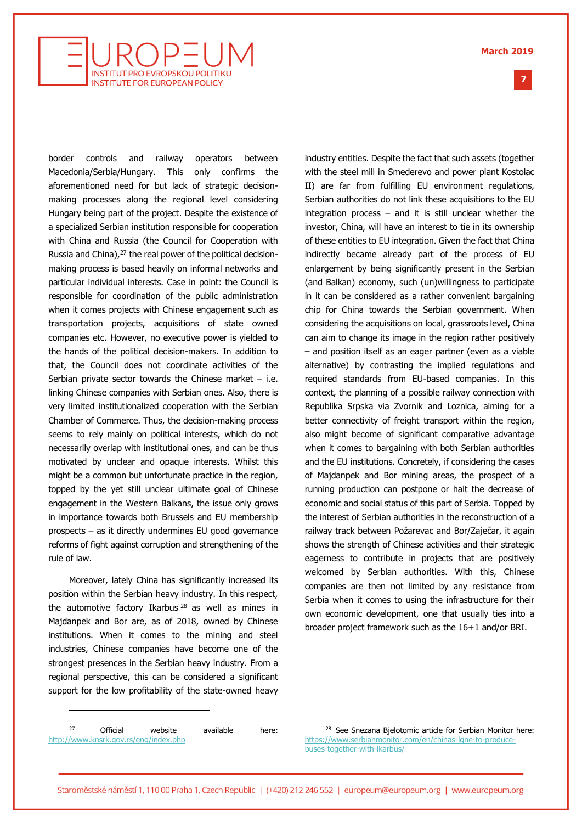**March 2019**

**7 %**



border controls and railway operators between Macedonia/Serbia/Hungary. This only confirms the aforementioned need for but lack of strategic decisionmaking processes along the regional level considering Hungary being part of the project. Despite the existence of a specialized Serbian institution responsible for cooperation with China and Russia (the Council for Cooperation with Russia and China),<sup>27</sup> the real power of the political decisionmaking process is based heavily on informal networks and particular individual interests. Case in point: the Council is responsible for coordination of the public administration when it comes projects with Chinese engagement such as transportation projects, acquisitions of state owned companies etc. However, no executive power is yielded to the hands of the political decision-makers. In addition to that, the Council does not coordinate activities of the Serbian private sector towards the Chinese market  $-$  i.e. linking Chinese companies with Serbian ones. Also, there is very limited institutionalized cooperation with the Serbian Chamber of Commerce. Thus, the decision-making process seems to rely mainly on political interests, which do not necessarily overlap with institutional ones, and can be thus motivated by unclear and opaque interests. Whilst this might be a common but unfortunate practice in the region, topped by the yet still unclear ultimate goal of Chinese engagement in the Western Balkans, the issue only grows in importance towards both Brussels and EU membership prospects – as it directly undermines EU good governance reforms of fight against corruption and strengthening of the rule of law.

Moreover, lately China has significantly increased its position within the Serbian heavy industry. In this respect, the automotive factory Ikarbus  $28$  as well as mines in Majdanpek and Bor are, as of 2018, owned by Chinese institutions. When it comes to the mining and steel industries, Chinese companies have become one of the strongest presences in the Serbian heavy industry. From a regional perspective, this can be considered a significant support for the low profitability of the state-owned heavy

industry entities. Despite the fact that such assets (together with the steel mill in Smederevo and power plant Kostolac II) are far from fulfilling EU environment regulations, Serbian authorities do not link these acquisitions to the EU integration process  $-$  and it is still unclear whether the investor, China, will have an interest to tie in its ownership of these entities to EU integration. Given the fact that China indirectly became already part of the process of EU enlargement by being significantly present in the Serbian (and Balkan) economy, such (un)willingness to participate in it can be considered as a rather convenient bargaining chip for China towards the Serbian government. When considering the acquisitions on local, grassroots level, China can aim to change its image in the region rather positively – and position itself as an eager partner (even as a viable alternative) by contrasting the implied regulations and required standards from EU-based companies. In this context, the planning of a possible railway connection with Republika Srpska via Zvornik and Loznica, aiming for a better connectivity of freight transport within the region, also might become of significant comparative advantage when it comes to bargaining with both Serbian authorities and the EU institutions. Concretely, if considering the cases of Majdanpek and Bor mining areas, the prospect of a running production can postpone or halt the decrease of economic and social status of this part of Serbia. Topped by the interest of Serbian authorities in the reconstruction of a railway track between Požarevac and Bor/Zaječar, it again shows the strength of Chinese activities and their strategic eagerness to contribute in projects that are positively welcomed by Serbian authorities. With this, Chinese companies are then not limited by any resistance from Serbia when it comes to using the infrastructure for their own economic development, one that usually ties into a broader project framework such as the 16+1 and/or BRI.

<sup>27</sup> Official website available here: <http://www.knsrk.gov.rs/eng/index.php>

j

<sup>28</sup> See Snezana Bjelotomic article for Serbian Monitor here: [https://www.serbianmonitor.com/en/chinas-lgne-to-produce](https://www.serbianmonitor.com/en/chinas-lgne-to-produce-buses-together-with-ikarbus/)[buses-together-with-ikarbus/](https://www.serbianmonitor.com/en/chinas-lgne-to-produce-buses-together-with-ikarbus/)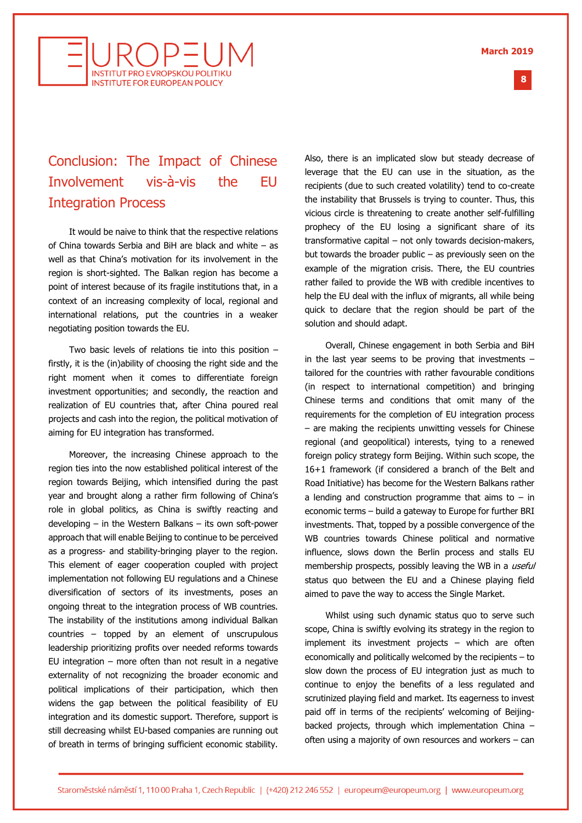

## Conclusion: The Impact of Chinese Involvement vis-à-vis the EU Integration Process

It would be naive to think that the respective relations of China towards Serbia and BiH are black and white – as well as that China's motivation for its involvement in the region is short-sighted. The Balkan region has become a point of interest because of its fragile institutions that, in a context of an increasing complexity of local, regional and international relations, put the countries in a weaker negotiating position towards the EU.

Two basic levels of relations tie into this position – firstly, it is the (in)ability of choosing the right side and the right moment when it comes to differentiate foreign investment opportunities; and secondly, the reaction and realization of EU countries that, after China poured real projects and cash into the region, the political motivation of aiming for EU integration has transformed.

Moreover, the increasing Chinese approach to the region ties into the now established political interest of the region towards Beijing, which intensified during the past year and brought along a rather firm following of China's role in global politics, as China is swiftly reacting and developing – in the Western Balkans – its own soft-power approach that will enable Beijing to continue to be perceived as a progress- and stability-bringing player to the region. This element of eager cooperation coupled with project implementation not following EU regulations and a Chinese diversification of sectors of its investments, poses an ongoing threat to the integration process of WB countries. The instability of the institutions among individual Balkan countries – topped by an element of unscrupulous leadership prioritizing profits over needed reforms towards EU integration  $-$  more often than not result in a negative externality of not recognizing the broader economic and political implications of their participation, which then widens the gap between the political feasibility of EU integration and its domestic support. Therefore, support is still decreasing whilst EU-based companies are running out of breath in terms of bringing sufficient economic stability.

Also, there is an implicated slow but steady decrease of leverage that the EU can use in the situation, as the recipients (due to such created volatility) tend to co-create the instability that Brussels is trying to counter. Thus, this vicious circle is threatening to create another self-fulfilling prophecy of the EU losing a significant share of its transformative capital – not only towards decision-makers, but towards the broader public – as previously seen on the example of the migration crisis. There, the EU countries rather failed to provide the WB with credible incentives to help the EU deal with the influx of migrants, all while being quick to declare that the region should be part of the solution and should adapt.

Overall, Chinese engagement in both Serbia and BiH in the last vear seems to be proving that investments  $$ tailored for the countries with rather favourable conditions (in respect to international competition) and bringing Chinese terms and conditions that omit many of the requirements for the completion of EU integration process – are making the recipients unwitting vessels for Chinese regional (and geopolitical) interests, tying to a renewed foreign policy strategy form Beijing. Within such scope, the 16+1 framework (if considered a branch of the Belt and Road Initiative) has become for the Western Balkans rather a lending and construction programme that aims to  $-$  in economic terms – build a gateway to Europe for further BRI investments. That, topped by a possible convergence of the WB countries towards Chinese political and normative influence, slows down the Berlin process and stalls EU membership prospects, possibly leaving the WB in a useful status quo between the EU and a Chinese playing field aimed to pave the way to access the Single Market.

Whilst using such dynamic status quo to serve such scope, China is swiftly evolving its strategy in the region to implement its investment projects – which are often economically and politically welcomed by the recipients – to slow down the process of EU integration just as much to continue to enjoy the benefits of a less regulated and scrutinized playing field and market. Its eagerness to invest paid off in terms of the recipients' welcoming of Beijingbacked projects, through which implementation China – often using a majority of own resources and workers – can

**8 %**